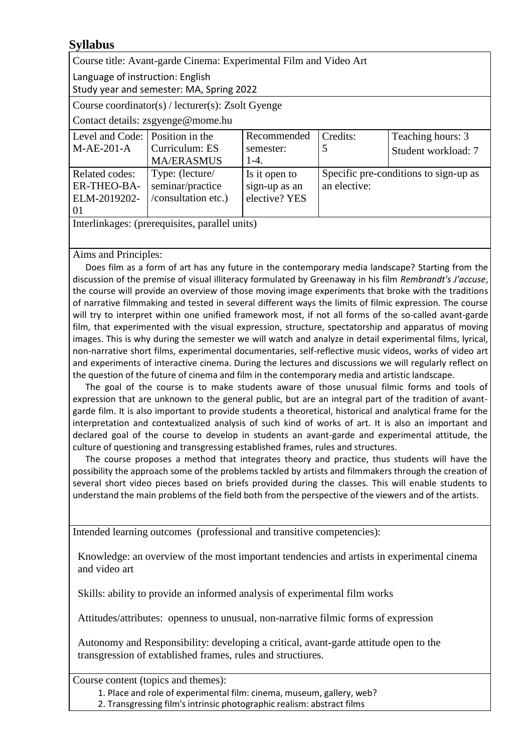## **Syllabus**

Course title: Avant-garde Cinema: Experimental Film and Video Art

Language of instruction: English

Study year and semester: MA, Spring 2022

Course coordinator(s) / lecturer(s): Zsolt Gyenge

Contact details: [zsgyenge@mome.hu](mailto:zsgyenge@mome.hu)

| Level and Code: Position in the                    |                     | Recommended   | Credits:                              | Teaching hours: 3   |
|----------------------------------------------------|---------------------|---------------|---------------------------------------|---------------------|
| $M-AE-201-A$                                       | Curriculum: ES      | semester:     |                                       | Student workload: 7 |
|                                                    | <b>MA/ERASMUS</b>   | $1-4.$        |                                       |                     |
| Related codes:                                     | Type: (lecture/     | Is it open to | Specific pre-conditions to sign-up as |                     |
| <b>ER-THEO-BA-</b>                                 | seminar/practice    | sign-up as an | an elective:                          |                     |
| ELM-2019202-                                       | /consultation etc.) | elective? YES |                                       |                     |
| 01                                                 |                     |               |                                       |                     |
| Taxaalialaa aad Zaadad aadalkaa caaadii 1 ahaalka\ |                     |               |                                       |                     |

Interlinkages: (prerequisites, parallel units)

Aims and Principles:

Does film as a form of art has any future in the contemporary media landscape? Starting from the discussion of the premise of visual illiteracy formulated by Greenaway in his film *Rembrandt's J'accuse*, the course will provide an overview of those moving image experiments that broke with the traditions of narrative filmmaking and tested in several different ways the limits of filmic expression. The course will try to interpret within one unified framework most, if not all forms of the so-called avant-garde film, that experimented with the visual expression, structure, spectatorship and apparatus of moving images. This is why during the semester we will watch and analyze in detail experimental films, lyrical, non-narrative short films, experimental documentaries, self-reflective music videos, works of video art and experiments of interactive cinema. During the lectures and discussions we will regularly reflect on the question of the future of cinema and film in the contemporary media and artistic landscape.

The goal of the course is to make students aware of those unusual filmic forms and tools of expression that are unknown to the general public, but are an integral part of the tradition of avantgarde film. It is also important to provide students a theoretical, historical and analytical frame for the interpretation and contextualized analysis of such kind of works of art. It is also an important and declared goal of the course to develop in students an avant-garde and experimental attitude, the culture of questioning and transgressing established frames, rules and structures.

The course proposes a method that integrates theory and practice, thus students will have the possibility the approach some of the problems tackled by artists and filmmakers through the creation of several short video pieces based on briefs provided during the classes. This will enable students to understand the main problems of the field both from the perspective of the viewers and of the artists.

Intended learning outcomes (professional and transitive competencies):

Knowledge: an overview of the most important tendencies and artists in experimental cinema and video art

Skills: ability to provide an informed analysis of experimental film works

Attitudes/attributes: openness to unusual, non-narrative filmic forms of expression

Autonomy and Responsibility: developing a critical, avant-garde attitude open to the transgression of extablished frames, rules and structiures.

Course content (topics and themes):

1. Place and role of experimental film: cinema, museum, gallery, web?

2. Transgressing film's intrinsic photographic realism: abstract films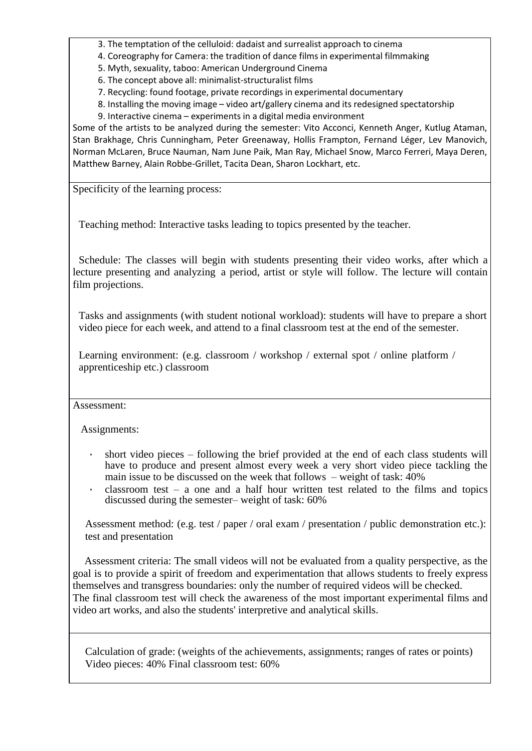3. The temptation of the celluloid: dadaist and surrealist approach to cinema

- 4. Coreography for Camera: the tradition of dance films in experimental filmmaking
- 5. Myth, sexuality, taboo: American Underground Cinema

6. The concept above all: minimalist-structuralist films

7. Recycling: found footage, private recordings in experimental documentary

8. Installing the moving image – video art/gallery cinema and its redesigned spectatorship

9. Interactive cinema – experiments in a digital media environment

Some of the artists to be analyzed during the semester: Vito Acconci, Kenneth Anger, Kutlug Ataman, Stan Brakhage, Chris Cunningham, Peter Greenaway, Hollis Frampton, Fernand Léger, Lev Manovich, Norman McLaren, Bruce Nauman, Nam June Paik, Man Ray, Michael Snow, Marco Ferreri, Maya Deren, Matthew Barney, Alain Robbe-Grillet, Tacita Dean, Sharon Lockhart, etc.

Specificity of the learning process:

Teaching method: Interactive tasks leading to topics presented by the teacher.

Schedule: The classes will begin with students presenting their video works, after which a lecture presenting and analyzing a period, artist or style will follow. The lecture will contain film projections.

Tasks and assignments (with student notional workload): students will have to prepare a short video piece for each week, and attend to a final classroom test at the end of the semester.

Learning environment: (e.g. classroom / workshop / external spot / online platform / apprenticeship etc.) classroom

## Assessment:

Assignments:

- short video pieces following the brief provided at the end of each class students will have to produce and present almost every week a very short video piece tackling the main issue to be discussed on the week that follows – weight of task:  $40\%$
- classroom test a one and a half hour written test related to the films and topics discussed during the semester– weight of task: 60%

Assessment method: (e.g. test / paper / oral exam / presentation / public demonstration etc.): test and presentation

Assessment criteria: The small videos will not be evaluated from a quality perspective, as the goal is to provide a spirit of freedom and experimentation that allows students to freely express themselves and transgress boundaries: only the number of required videos will be checked. The final classroom test will check the awareness of the most important experimental films and video art works, and also the students' interpretive and analytical skills.

Calculation of grade: (weights of the achievements, assignments; ranges of rates or points) Video pieces: 40% Final classroom test: 60%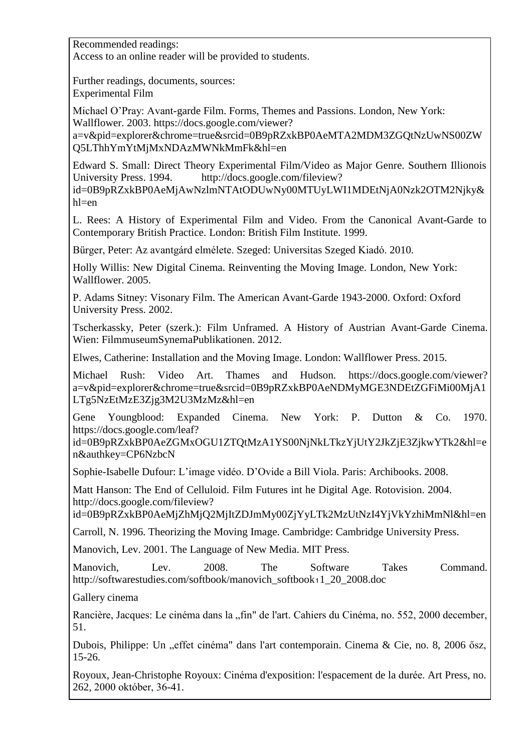Recommended readings:

Access to an online reader will be provided to students.

Further readings, documents, sources: Experimental Film

Michael O'Pray: Avant-garde Film. Forms, Themes and Passions. London, New York: Wallflower. 2003. https://docs.google.com/viewer?

a=v&pid=explorer&chrome=true&srcid=0B9pRZxkBP0AeMTA2MDM3ZGQtNzUwNS00ZW Q5LThhYmYtMjMxNDAzMWNkMmFk&hl=en

Edward S. Small: Direct Theory Experimental Film/Video as Major Genre. Southern Illionois University Press. 1994. [http://docs.google.com/fileview?](http://docs.google.com/fileview) id=0B9pRZxkBP0AeMjAwNzlmNTAtODUwNy00MTUyLWI1MDEtNjA0Nzk2OTM2Njky& hl=en

L. Rees: A History of Experimental Film and Video. From the Canonical Avant-Garde to Contemporary British Practice. London: British Film Institute. 1999.

Bürger, Peter: Az avantgárd elmélete. Szeged: Universitas Szeged Kiadó. 2010.

Holly Willis: New Digital Cinema. Reinventing the Moving Image. London, New York: Wallflower. 2005.

P. Adams Sitney: Visonary Film. The American Avant-Garde 1943-2000. Oxford: Oxford University Press. 2002.

Tscherkassky, Peter (szerk.): Film Unframed. A History of Austrian Avant-Garde Cinema. Wien: FilmmuseumSynemaPublikationen. 2012.

Elwes, Catherine: Installation and the Moving Image. London: Wallflower Press. 2015.

Michael Rush: Video Art. Thames and Hudson. https://docs.google.com/viewer? a=v&pid=explorer&chrome=true&srcid=0B9pRZxkBP0AeNDMyMGE3NDEtZGFiMi00MjA1 LTg5NzEtMzE3Zjg3M2U3MzMz&hl=en

Gene Youngblood: Expanded Cinema. New York: P. Dutton & Co. 1970. https://docs.google.com/leaf?

id=0B9pRZxkBP0AeZGMxOGU1ZTQtMzA1YS00NjNkLTkzYjUtY2JkZjE3ZjkwYTk2&hl=e n&authkey=CP6NzbcN

Sophie-Isabelle Dufour: L'image vidéo. D'Ovide a Bill Viola. Paris: Archibooks. 2008.

Matt Hanson: The End of Celluloid. Film Futures int he Digital Age. Rotovision. 2004. [http://docs.google.com/fileview?](http://docs.google.com/fileview)

id=0B9pRZxkBP0AeMjZhMjQ2MjItZDJmMy00ZjYyLTk2MzUtNzI4YjVkYzhiMmNl&hl=en

Carroll, N. 1996. Theorizing the Moving Image. Cambridge: Cambridge University Press.

Manovich, Lev. 2001. The Language of New Media. MIT Press.

Manovich, Lev. 2008. The Software Takes Command. [http://softwarestudies.com/softbook/manovich\\_softbook](http://softwarestudies.com/softbook/manovich_softbook)₁1\_20\_2008.doc

Gallery cinema

Rancière, Jacques: Le cinéma dans la "fin" de l'art. Cahiers du Cinéma, no. 552, 2000 december, 51.

Dubois, Philippe: Un "effet cinéma" dans l'art contemporain. Cinema & Cie, no. 8, 2006 ősz, 15-26.

Royoux, Jean-Christophe Royoux: Cinéma d'exposition: l'espacement de la durée. Art Press, no. 262, 2000 október, 36-41.